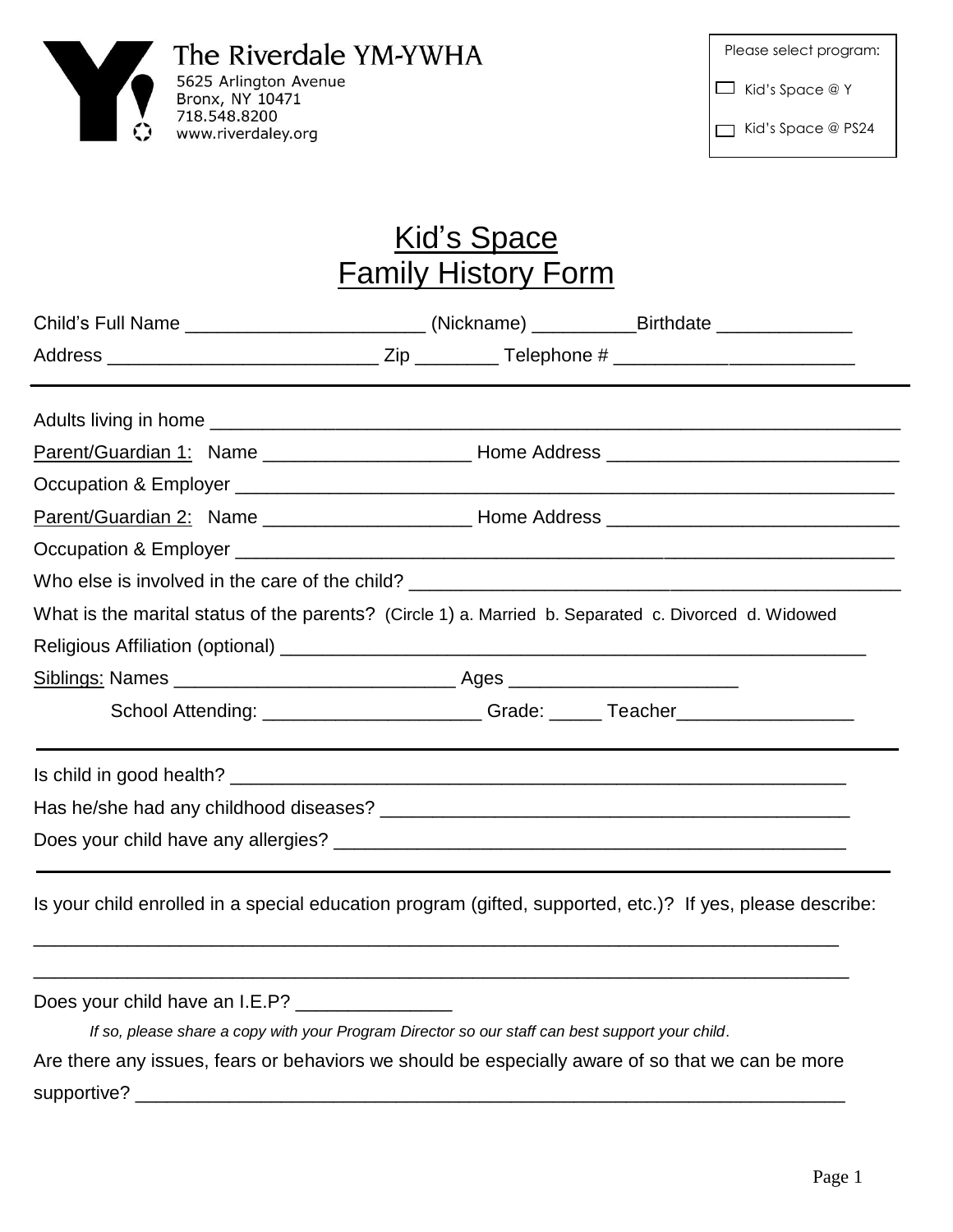

| Please select program: |                        |  |  |
|------------------------|------------------------|--|--|
|                        | $\Box$ Kid's Space @ Y |  |  |
|                        | Kid's Space @ PS24     |  |  |

## Kid's Space Family History Form

|                                                                                                      |  |  | Child's Full Name _________________________(Nickname) __________Birthdate _____________                   |  |  |  |
|------------------------------------------------------------------------------------------------------|--|--|-----------------------------------------------------------------------------------------------------------|--|--|--|
|                                                                                                      |  |  |                                                                                                           |  |  |  |
|                                                                                                      |  |  |                                                                                                           |  |  |  |
| Parent/Guardian 1: Name _________________________________Home Address ______________________________ |  |  |                                                                                                           |  |  |  |
|                                                                                                      |  |  |                                                                                                           |  |  |  |
|                                                                                                      |  |  |                                                                                                           |  |  |  |
|                                                                                                      |  |  |                                                                                                           |  |  |  |
|                                                                                                      |  |  |                                                                                                           |  |  |  |
| What is the marital status of the parents? (Circle 1) a. Married b. Separated c. Divorced d. Widowed |  |  |                                                                                                           |  |  |  |
|                                                                                                      |  |  |                                                                                                           |  |  |  |
|                                                                                                      |  |  |                                                                                                           |  |  |  |
|                                                                                                      |  |  | School Attending: ______________________Grade: ______Teacher____________________                          |  |  |  |
|                                                                                                      |  |  |                                                                                                           |  |  |  |
|                                                                                                      |  |  |                                                                                                           |  |  |  |
|                                                                                                      |  |  |                                                                                                           |  |  |  |
|                                                                                                      |  |  | Is your child enrolled in a special education program (gifted, supported, etc.)? If yes, please describe: |  |  |  |
| Does your child have an I.E.P? ________________                                                      |  |  |                                                                                                           |  |  |  |
| If so, please share a copy with your Program Director so our staff can best support your child.      |  |  |                                                                                                           |  |  |  |
| Are there any issues, fears or behaviors we should be especially aware of so that we can be more     |  |  |                                                                                                           |  |  |  |
| supportive?                                                                                          |  |  |                                                                                                           |  |  |  |